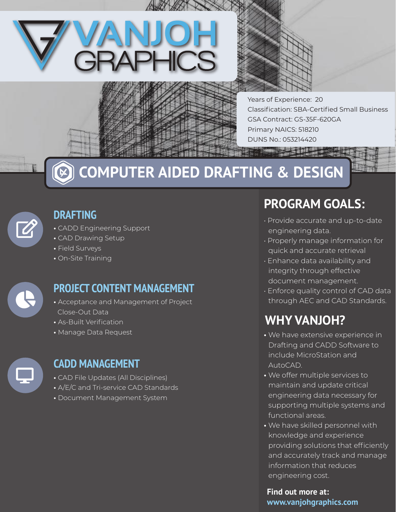



**The Second Print** 

Years of Experience: 20 Classification: SBA-Certified Small Business GSA Contract: GS-35F-620GA Primary NAICS: 518210 DUNS No.: 053214420



# **COMPUTER AIDED DRAFTING & DESIGN**



### **DRAFTING**

- CADD Engineering Support
- CAD Drawing Setup
- Field Surveys
- On-Site Training



### **PROJECT CONTENT MANAGEMENT**

- Acceptance and Management of Project Close-Out Data
- As-Built Verification
- Manage Data Request



#### **CADD MANAGEMENT**

- CAD File Updates (All Disciplines)
- A/E/C and Tri-service CAD Standards
- Document Management System

### **PROGRAM GOALS:**

- Provide accurate and up-to-date engineering data.
- Properly manage information for quick and accurate retrieval
- Enhance data availability and integrity through effective document management.
- Enforce quality control of CAD data through AEC and CAD Standards.

### **WHY VANJOH?**

- We have extensive experience in Drafting and CADD Software to include MicroStation and AutoCAD.
- We offer multiple services to maintain and update critical engineering data necessary for supporting multiple systems and functional areas.
- We have skilled personnel with knowledge and experience providing solutions that efficiently and accurately track and manage information that reduces engineering cost.

**Find out more at: www.vanjohgraphics.com**